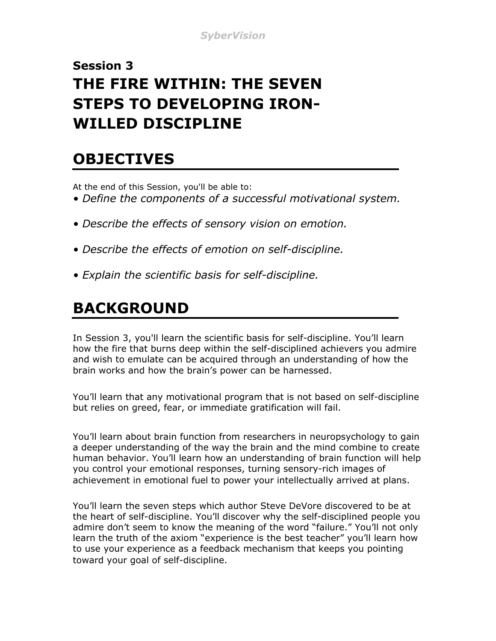### **Session 3 THE FIRE WITHIN: THE SEVEN STEPS TO DEVELOPING IRON-WILLED DISCIPLINE**

### **OBJECTIVES**

At the end of this Session, you'll be able to:

- *Define the components of a successful motivational system.*
- *Describe the effects of sensory vision on emotion.*
- *Describe the effects of emotion on self-discipline.*
- *Explain the scientific basis for self-discipline.*

## **BACKGROUND**

In Session 3, you'll learn the scientific basis for self-discipline. You'll learn how the fire that burns deep within the self-disciplined achievers you admire and wish to emulate can be acquired through an understanding of how the brain works and how the brain's power can be harnessed.

You'll learn that any motivational program that is not based on self-discipline but relies on greed, fear, or immediate gratification will fail.

You'll learn about brain function from researchers in neuropsychology to gain a deeper understanding of the way the brain and the mind combine to create human behavior. You'll learn how an understanding of brain function will help you control your emotional responses, turning sensory-rich images of achievement in emotional fuel to power your intellectually arrived at plans.

You'll learn the seven steps which author Steve DeVore discovered to be at the heart of self-discipline. You'll discover why the self-disciplined people you admire don't seem to know the meaning of the word "failure." You'll not only learn the truth of the axiom "experience is the best teacher" you'll learn how to use your experience as a feedback mechanism that keeps you pointing toward your goal of self-discipline.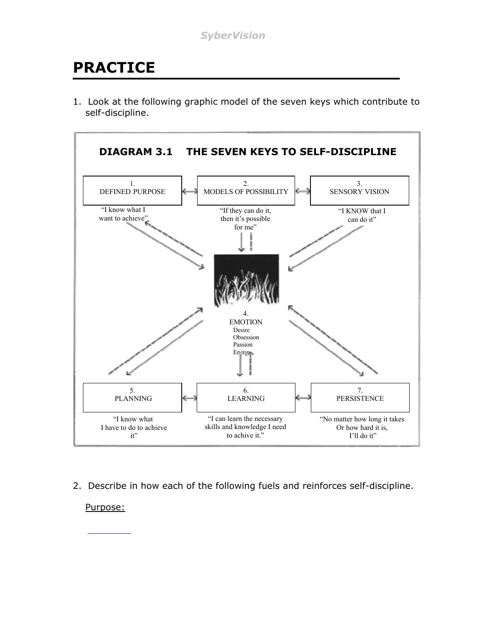## **PRACTICE**

1. Look at the following graphic model of the seven keys which contribute to self-discipline.



2. Describe in how each of the following fuels and reinforces self-discipline.

Purpose: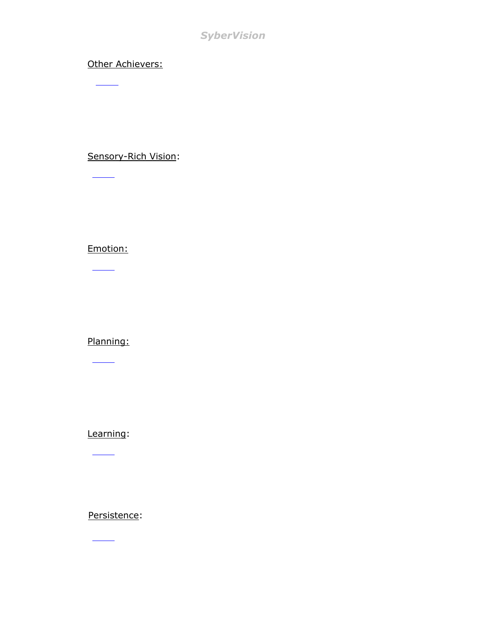#### *SyberVision*

#### Other Achievers:

 $\overline{\phantom{a}}$ 

Sensory-Rich Vision:

Emotion:

 $\frac{1}{\sqrt{2\pi}}\left( \frac{1}{\sqrt{2\pi}}\right) ^{2}+\frac{1}{\sqrt{2\pi}}\left( \frac{1}{\sqrt{2\pi}}\right) ^{2}+\frac{1}{\sqrt{2\pi}}\left( \frac{1}{\sqrt{2\pi}}\right) ^{2}+\frac{1}{\sqrt{2\pi}}\left( \frac{1}{\sqrt{2\pi}}\right) ^{2}+\frac{1}{\sqrt{2\pi}}\left( \frac{1}{\sqrt{2\pi}}\right) ^{2}+\frac{1}{\sqrt{2\pi}}\left( \frac{1}{\sqrt{2\pi}}\right) ^{2}+\frac{1}{\sqrt{2\pi}}\left( \$ 

 $\frac{\partial \mathbf{u}}{\partial \mathbf{u}}$ 

Planning:

 $\overline{\phantom{a}}$ 

Learning:

 $\overline{\phantom{a}}$ 

Persistence:

 $\overline{\phantom{a}}$